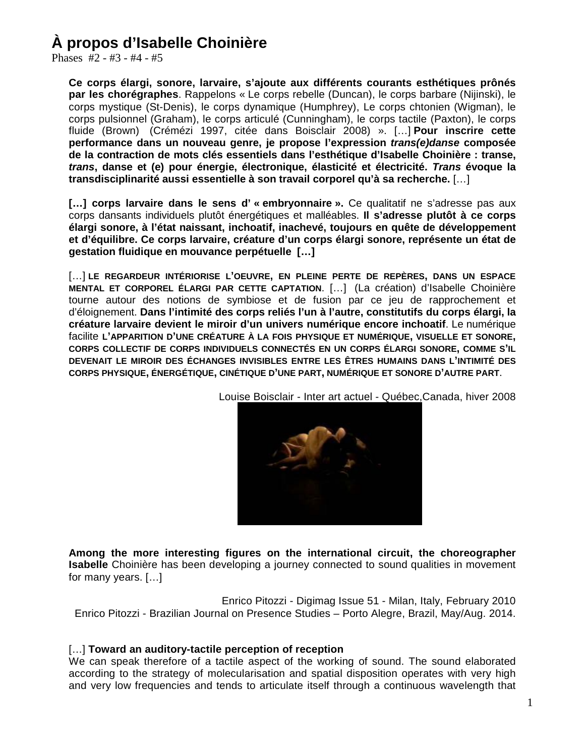### **À propos d'Isabelle Choinière**

Phases #2 - #3 - #4 - #5

**Ce corps élargi, sonore, larvaire, s'ajoute aux différents courants esthétiques prônés par les chorégraphes**. Rappelons « Le corps rebelle (Duncan), le corps barbare (Nijinski), le corps mystique (St-Denis), le corps dynamique (Humphrey), Le corps chtonien (Wigman), le corps pulsionnel (Graham), le corps articulé (Cunningham), le corps tactile (Paxton), le corps fluide (Brown) (Crémézi 1997, citée dans Boisclair 2008) ». […] **Pour inscrire cette performance dans un nouveau genre, je propose l'expression** *trans(e)danse* **composée de la contraction de mots clés essentiels dans l'esthétique d'Isabelle Choinière : transe,**  *trans***, danse et (e) pour énergie, électronique, élasticité et électricité.** *Trans* **évoque la transdisciplinarité aussi essentielle à son travail corporel qu'à sa recherche.** […]

**[…] corps larvaire dans le sens d' « embryonnaire ».** Ce qualitatif ne s'adresse pas aux corps dansants individuels plutôt énergétiques et malléables. **Il s'adresse plutôt à ce corps élargi sonore, à l'état naissant, inchoatif, inachevé, toujours en quête de développement et d'équilibre. Ce corps larvaire, créature d'un corps élargi sonore, représente un état de gestation fluidique en mouvance perpétuelle […]**

[…] **LE REGARDEUR INTÉRIORISE L'OEUVRE, EN PLEINE PERTE DE REPÈRES, DANS UN ESPACE MENTAL ET CORPOREL ÉLARGI PAR CETTE CAPTATION**. […] (La création) d'Isabelle Choinière tourne autour des notions de symbiose et de fusion par ce jeu de rapprochement et d'éloignement. **Dans l'intimité des corps reliés l'un à l'autre, constitutifs du corps élargi, la créature larvaire devient le miroir d'un univers numérique encore inchoatif**. Le numérique facilite **L'APPARITION D'UNE CRÉATURE À LA FOIS PHYSIQUE ET NUMÉRIQUE, VISUELLE ET SONORE, CORPS COLLECTIF DE CORPS INDIVIDUELS CONNECTÉS EN UN CORPS ÉLARGI SONORE, COMME S'IL DEVENAIT LE MIROIR DES ÉCHANGES INVISIBLES ENTRE LES ÊTRES HUMAINS DANS L'INTIMITÉ DES CORPS PHYSIQUE, ÉNERGÉTIQUE, CINÉTIQUE D'UNE PART, NUMÉRIQUE ET SONORE D'AUTRE PART**.

Louise Boisclair - Inter art actuel - Québec,Canada, hiver 2008



**Among the more interesting figures on the international circuit, the choreographer Isabelle** Choinière has been developing a journey connected to sound qualities in movement for many years. […]

Enrico Pitozzi - Digimag Issue 51 - Milan, Italy, February 2010 Enrico Pitozzi - Brazilian Journal on Presence Studies – Porto Alegre, Brazil, May/Aug. 2014.

### […] **Toward an auditory-tactile perception of reception**

We can speak therefore of a tactile aspect of the working of sound. The sound elaborated according to the strategy of molecularisation and spatial disposition operates with very high and very low frequencies and tends to articulate itself through a continuous wavelength that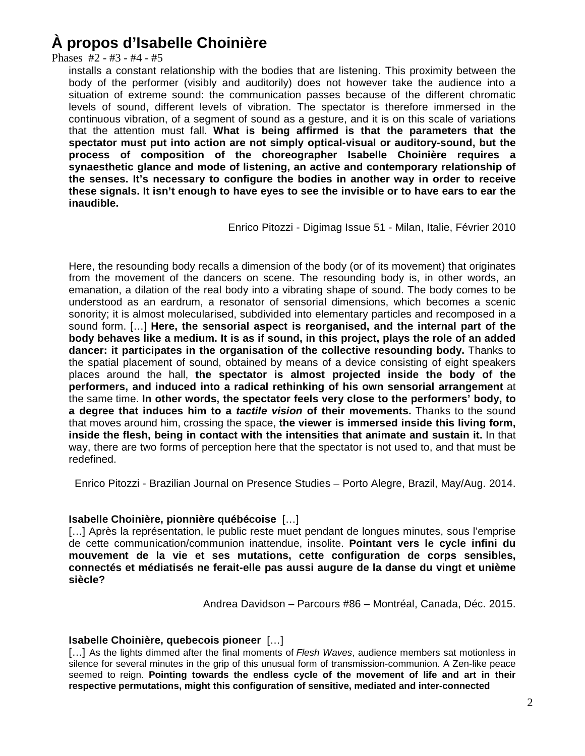## **À propos d'Isabelle Choinière**

Phases #2 - #3 - #4 - #5

installs a constant relationship with the bodies that are listening. This proximity between the body of the performer (visibly and auditorily) does not however take the audience into a situation of extreme sound: the communication passes because of the different chromatic levels of sound, different levels of vibration. The spectator is therefore immersed in the continuous vibration, of a segment of sound as a gesture, and it is on this scale of variations that the attention must fall. **What is being affirmed is that the parameters that the spectator must put into action are not simply optical-visual or auditory-sound, but the process of composition of the choreographer Isabelle Choinière requires a synaesthetic glance and mode of listening, an active and contemporary relationship of the senses. It's necessary to configure the bodies in another way in order to receive these signals. It isn't enough to have eyes to see the invisible or to have ears to ear the inaudible.**

Enrico Pitozzi - Digimag Issue 51 - Milan, Italie, Février 2010

Here, the resounding body recalls a dimension of the body (or of its movement) that originates from the movement of the dancers on scene. The resounding body is, in other words, an emanation, a dilation of the real body into a vibrating shape of sound. The body comes to be understood as an eardrum, a resonator of sensorial dimensions, which becomes a scenic sonority; it is almost molecularised, subdivided into elementary particles and recomposed in a sound form. […] **Here, the sensorial aspect is reorganised, and the internal part of the body behaves like a medium. It is as if sound, in this project, plays the role of an added dancer: it participates in the organisation of the collective resounding body.** Thanks to the spatial placement of sound, obtained by means of a device consisting of eight speakers places around the hall, **the spectator is almost projected inside the body of the performers, and induced into a radical rethinking of his own sensorial arrangement** at the same time. **In other words, the spectator feels very close to the performers' body, to a degree that induces him to a** *tactile vision* **of their movements.** Thanks to the sound that moves around him, crossing the space, **the viewer is immersed inside this living form, inside the flesh, being in contact with the intensities that animate and sustain it.** In that way, there are two forms of perception here that the spectator is not used to, and that must be redefined.

Enrico Pitozzi - Brazilian Journal on Presence Studies – Porto Alegre, Brazil, May/Aug. 2014.

### **Isabelle Choinière, pionnière québécoise** […]

[...] Après la représentation, le public reste muet pendant de longues minutes, sous l'emprise de cette communication/communion inattendue, insolite. **Pointant vers le cycle infini du mouvement de la vie et ses mutations, cette configuration de corps sensibles, connectés et médiatisés ne ferait-elle pas aussi augure de la danse du vingt et unième siècle?**

Andrea Davidson – Parcours #86 – Montréal, Canada, Déc. 2015.

### **Isabelle Choinière, quebecois pioneer** […]

[…] As the lights dimmed after the final moments of *Flesh Waves*, audience members sat motionless in silence for several minutes in the grip of this unusual form of transmission-communion. A Zen-like peace seemed to reign. **Pointing towards the endless cycle of the movement of life and art in their respective permutations, might this configuration of sensitive, mediated and inter-connected**